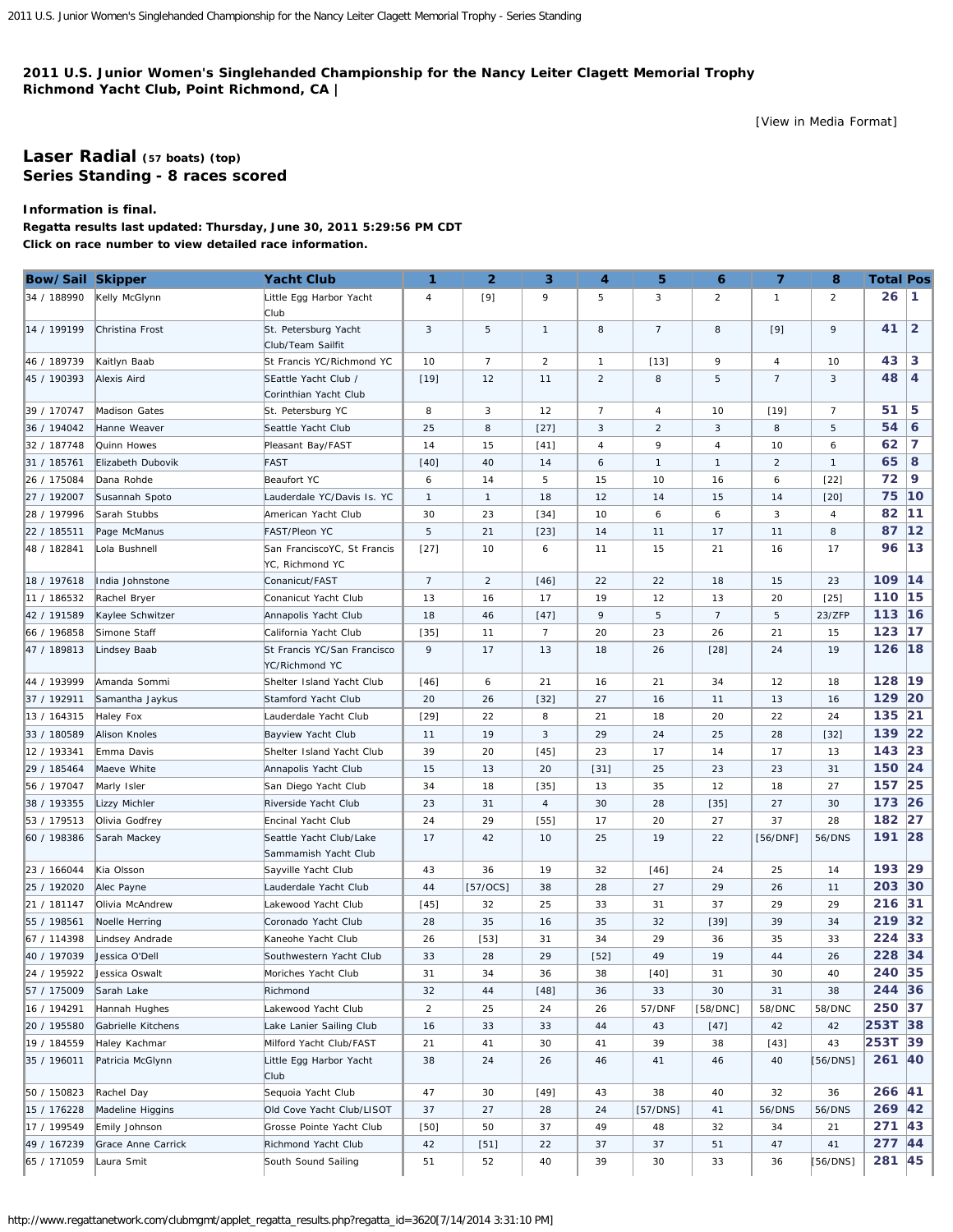## <span id="page-0-0"></span>**2011 U.S. Junior Women's Singlehanded Championship for the Nancy Leiter Clagett Memorial Trophy Richmond Yacht Club, Point Richmond, CA |**

[\[View in Media Format](http://www.regattanetwork.com/clubmgmt/applet_regatta_results.php?regatta_id=3620&media_format=1)]

## **[Laser Radial](http://www.regattanetwork.com/clubmgmt/applet_regatta_results.php?regatta_id=3620&limit_fleet=Laser+Radial) (57 boats) [\(top\)](#page-0-0) Series Standing - 8 races scored**

**Information is final.**

**Regatta results last updated: Thursday, June 30, 2011 5:29:56 PM CDT Click on race number to view detailed race information.**

| Bow/Sail Skipper |                      | <b>Yacht Club</b>                               | 1               | $\overline{2}$ | 3              | 4              | 5              | 6              | $\overline{7}$ | 8              | <b>Total Pos</b> |                |
|------------------|----------------------|-------------------------------------------------|-----------------|----------------|----------------|----------------|----------------|----------------|----------------|----------------|------------------|----------------|
| 34 / 188990      | Kelly McGlynn        | Little Egg Harbor Yacht<br>Club                 | 4               | $[9]$          | 9              | 5              | 3              | $\overline{2}$ | $\mathbf{1}$   | $\overline{2}$ | 26               | 1.             |
| 14 / 199199      | Christina Frost      | St. Petersburg Yacht<br>Club/Team Sailfit       | 3               | 5              | $\mathbf{1}$   | 8              | $\overline{7}$ | 8              | $[9]$          | 9              | 41               | $\overline{2}$ |
| 46 / 189739      | Kaitlyn Baab         | St Francis YC/Richmond YC                       | 10              | $\overline{7}$ | $\overline{c}$ | 1              | $[13]$         | 9              | $\overline{4}$ | 10             | 43               | 3              |
| 45 / 190393      | Alexis Aird          | SEattle Yacht Club /<br>Corinthian Yacht Club   | $[19]$          | 12             | 11             | $\overline{2}$ | 8              | 5              | $\overline{7}$ | 3              | 48               | 4              |
| 39 / 170747      | Madison Gates        | St. Petersburg YC                               | 8               | 3              | 12             | $\overline{7}$ | 4              | 10             | $[19]$         | $\overline{7}$ | 51               | 5              |
| 36 / 194042      | Hanne Weaver         | Seattle Yacht Club                              | 25              | 8              | $[27]$         | 3              | $\overline{2}$ | 3              | 8              | 5              | 54               | 6              |
| 32 / 187748      | Quinn Howes          | Pleasant Bay/FAST                               | 14              | 15             | $[41]$         | 4              | 9              | 4              | 10             | 6              | 62               | 7              |
| 31 / 185761      | Elizabeth Dubovik    | <b>FAST</b>                                     | $[40]$          | 40             | 14             | 6              | $\mathbf{1}$   | $\mathbf{1}$   | $\overline{2}$ | $\mathbf{1}$   | 65               | 8              |
| 26 / 175084      | Dana Rohde           | Beaufort YC                                     | 6               | 14             | 5              | 15             | 10             | 16             | 6              | $[22]$         | 72               | 9              |
| 27 / 192007      | Susannah Spoto       | Lauderdale YC/Davis Is. YC                      | $\mathbf{1}$    | $\mathbf{1}$   | 18             | 12             | 14             | 15             | 14             | $[20]$         | 75               | 10             |
| 28 / 197996      | Sarah Stubbs         | American Yacht Club                             | 30              | 23             | $[34]$         | 10             | 6              | 6              | 3              | 4              | 82               | 11             |
| 22 / 185511      | Page McManus         | FAST/Pleon YC                                   | 5               | 21             | $[23]$         | 14             | 11             | 17             | 11             | 8              | 87               | $12$           |
| 48 / 182841      | Lola Bushnell        | San FranciscoYC, St Francis<br>YC, Richmond YC  | $[27]$          | 10             | 6              | 11             | 15             | 21             | 16             | 17             | 96               | 13             |
| 18 / 197618      | India Johnstone      | Conanicut/FAST                                  | $7\overline{ }$ | $\overline{c}$ | $[46]$         | 22             | 22             | 18             | 15             | 23             | 109              | 14             |
| 11 / 186532      | Rachel Bryer         | Conanicut Yacht Club                            | 13              | 16             | 17             | 19             | 12             | 13             | 20             | $[25]$         | 110              | 15             |
| 42 / 191589      | Kaylee Schwitzer     | Annapolis Yacht Club                            | 18              | 46             | $[47]$         | 9              | 5              | $\overline{7}$ | 5              | 23/ZFP         | 113              | 16             |
| 66 / 196858      | Simone Staff         | California Yacht Club                           | $[35]$          | 11             | $\overline{7}$ | 20             | 23             | 26             | 21             | 15             | 123              | 17             |
| 47 / 189813      | Lindsey Baab         | St Francis YC/San Francisco<br>YC/Richmond YC   | 9               | 17             | 13             | 18             | 26             | $[28]$         | 24             | 19             | 126              | 18             |
| 44 / 193999      | Amanda Sommi         | Shelter Island Yacht Club                       | $[46]$          | 6              | 21             | 16             | 21             | 34             | 12             | 18             | 128              | 19             |
| 37 / 192911      | Samantha Jaykus      | Stamford Yacht Club                             | 20              | 26             | $[32]$         | 27             | 16             | 11             | 13             | 16             | 129              | 20             |
| 13 / 164315      | Haley Fox            | Lauderdale Yacht Club                           | $[29]$          | 22             | 8              | 21             | 18             | 20             | 22             | 24             | 135              | 21             |
| 33 / 180589      | <b>Alison Knoles</b> | Bayview Yacht Club                              | 11              | 19             | 3              | 29             | 24             | 25             | 28             | $[32]$         | 139              | 22             |
| 12 / 193341      | Emma Davis           | Shelter Island Yacht Club                       | 39              | 20             | $[45]$         | 23             | 17             | 14             | 17             | 13             | 143              | 23             |
| 29 / 185464      | Maeve White          | Annapolis Yacht Club                            | 15              | 13             | 20             | $[31]$         | 25             | 23             | 23             | 31             | 150 24           |                |
| 56 / 197047      | Marly Isler          | San Diego Yacht Club                            | 34              | 18             | $[35]$         | 13             | 35             | 12             | 18             | 27             | 157              | 25             |
| 38 / 193355      | Lizzy Michler        | Riverside Yacht Club                            | 23              | 31             | 4              | 30             | 28             | $[35]$         | 27             | 30             | 173              | 26             |
| 53 / 179513      | Olivia Godfrey       | Encinal Yacht Club                              | 24              | 29             | $[55]$         | 17             | 20             | 27             | 37             | 28             | 182              | 27             |
| 60 / 198386      | Sarah Mackey         | Seattle Yacht Club/Lake<br>Sammamish Yacht Club | 17              | 42             | 10             | 25             | 19             | 22             | [56/DNF]       | 56/DNS         | 191              | 28             |
| 23 / 166044      | Kia Olsson           | Sayville Yacht Club                             | 43              | 36             | 19             | 32             | $[46]$         | 24             | 25             | 14             | 193              | 29             |
| 25 / 192020      | Alec Payne           | Lauderdale Yacht Club                           | 44              | [57/0CS]       | 38             | 28             | 27             | 29             | 26             | 11             | 203              | 30             |
| 21 / 181147      | Olivia McAndrew      | Lakewood Yacht Club                             | $[45]$          | 32             | 25             | 33             | 31             | 37             | 29             | 29             | 216              | 31             |
| 55 / 198561      | Noelle Herring       | Coronado Yacht Club                             | 28              | 35             | 16             | 35             | 32             | $[39]$         | 39             | 34             | 219              | 32             |
| 67 / 114398      | Lindsey Andrade      | Kaneohe Yacht Club                              | 26              | $[53]$         | 31             | 34             | 29             | 36             | 35             | 33             | 224              | 33             |
| 40 / 197039      | Jessica O'Dell       | Southwestern Yacht Club                         | 33              | 28             | 29             | $[52]$         | 49             | 19             | 44             | 26             | 228 34           |                |
| 24 / 195922      | Jessica Oswalt       | Moriches Yacht Club                             | 31              | 34             | 36             | 38             | $[40]$         | 31             | 30             | 40             | 240 35           |                |
| 57 / 175009      | Sarah Lake           | Richmond                                        | 32              | 44             | $[48]$         | 36             | 33             | 30             | 31             | 38             | 244 36           |                |
| 16 / 194291      | Hannah Hughes        | Lakewood Yacht Club                             | $\overline{2}$  | 25             | 24             | 26             | 57/DNF         | [58/DNC]       | 58/DNC         | 58/DNC         | 250 37           |                |
| 20 / 195580      | Gabrielle Kitchens   | Lake Lanier Sailing Club                        | 16              | 33             | 33             | 44             | 43             | $[47]$         | 42             | 42             | 253T 38          |                |
| 19 / 184559      | Haley Kachmar        | Milford Yacht Club/FAST                         | 21              | 41             | 30             | 41             | 39             | 38             | $[43]$         | 43             | 253T 39          |                |
| 35 / 196011      | Patricia McGlynn     | Little Egg Harbor Yacht<br>Club                 | 38              | 24             | 26             | 46             | 41             | 46             | 40             | [56/DNS]       | 261 40           |                |
| 50 / 150823      | Rachel Day           | Sequoia Yacht Club                              | 47              | 30             | $[49]$         | 43             | 38             | 40             | 32             | 36             | 266 41           |                |
| 15 / 176228      | Madeline Higgins     | Old Cove Yacht Club/LISOT                       | 37              | 27             | 28             | 24             | [57/DNS]       | 41             | 56/DNS         | 56/DNS         | 269 42           |                |
| 17 / 199549      | Emily Johnson        | Grosse Pointe Yacht Club                        | $[50]$          | 50             | 37             | 49             | 48             | 32             | 34             | 21             | 271 43           |                |
| 49 / 167239      | Grace Anne Carrick   | Richmond Yacht Club                             | 42              | $[51]$         | 22             | 37             | 37             | 51             | 47             | 41             | 277 44           |                |
| 65 / 171059      | Laura Smit           | South Sound Sailing                             | 51              | 52             | 40             | 39             | 30             | 33             | 36             | [56/DNS]       | 281              | 45             |